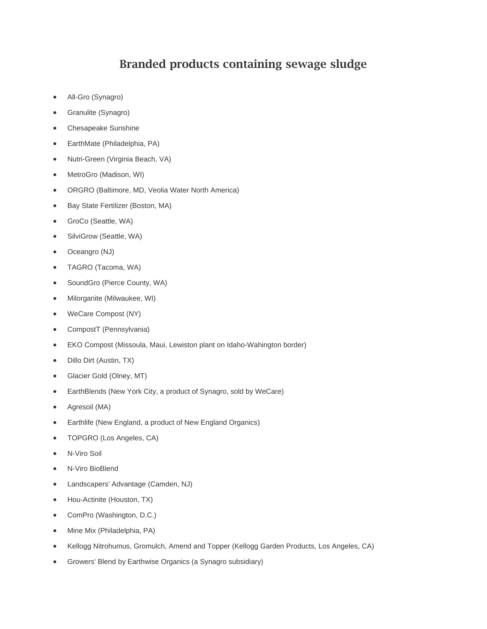## **Branded products containing sewage sludge**

- All-Gro (Synagro)
- Granulite (Synagro)
- Chesapeake Sunshine
- EarthMate (Philadelphia, PA)
- Nutri-Green (Virginia Beach, VA)
- MetroGro (Madison, WI)
- ORGRO (Baltimore, MD, Veolia Water North America)
- Bay State Fertilizer (Boston, MA)
- GroCo (Seattle, WA)
- SilviGrow (Seattle, WA)
- Oceangro (NJ)
- TAGRO (Tacoma, WA)
- SoundGro (Pierce County, WA)
- Milorganite (Milwaukee, WI)
- WeCare Compost (NY)
- CompostT (Pennsylvania)
- EKO Compost (Missoula, Maui, Lewiston plant on Idaho-Wahington border)
- Dillo Dirt (Austin, TX)
- Glacier Gold (Olney, MT)
- EarthBlends (New York City, a product of Synagro, sold by WeCare)
- Agresoil (MA)
- Earthlife (New England, a product of New England Organics)
- TOPGRO (Los Angeles, CA)
- N-Viro Soil
- N-Viro BioBlend
- Landscapers' Advantage (Camden, NJ)
- Hou-Actinite (Houston, TX)
- ComPro (Washington, D.C.)
- Mine Mix (Philadelphia, PA)
- Kellogg Nitrohumus, Gromulch, Amend and Topper (Kellogg Garden Products, Los Angeles, CA)
- Growers' Blend by Earthwise Organics (a Synagro subsidiary)